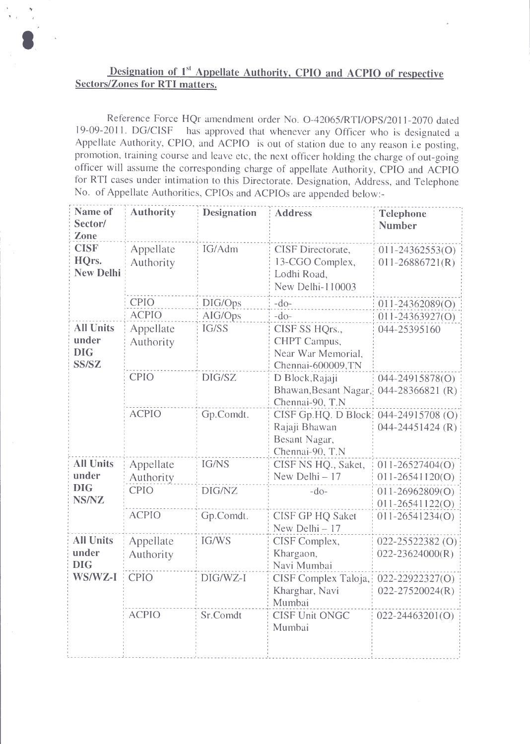## Designation of 1<sup>st</sup> Appellate Authority, CPIO and ACPIO of respective **Sectors/Zones for RTI matters.**

Reference Force HQr amendment order No. O-42065/RTI/OPS/2011-2070 dated 19-09-2011. DG/CISF has approved that whenever any Officer who is designated a Appellate Authority, CPIO, and ACPIO is out of station due to any reason i.e posting, promotion, training course and leave etc, the next officer holding the charge of out-going officer will assume the corresponding charge of appellate Authority, CPIO and ACPIO for RTI cases under intimation to this Directorate. Designation, Address, and Telephone No. of Appellate Authorities, CPIOs and ACPIOs are appended below:-

| Name of<br>Sector/<br>Zone                       | <b>Authority</b>       | <b>Designation</b> | <b>Address</b>                                                            | <b>Telephone</b><br><b>Number</b>           |
|--------------------------------------------------|------------------------|--------------------|---------------------------------------------------------------------------|---------------------------------------------|
| <b>CISF</b><br>HQrs.<br><b>New Delhi</b>         | Appellate<br>Authority | IG/Adm             | CISF Directorate,<br>13-CGO Complex,<br>Lodhi Road,<br>New Delhi-110003   | $011 - 24362553(0)$<br>$011 - 26886721(R)$  |
|                                                  | CPIO                   | DIG/Ops            | $-do-$                                                                    | $011 - 24362089(O)$                         |
|                                                  | <b>ACPIO</b>           | AIG/Ops            | $-do-$                                                                    | $011 - 24363927(0)$                         |
| <b>All Units</b><br>under<br><b>DIG</b><br>SS/SZ | Appellate<br>Authority | IG/SS              | CISF SS HQrs.,<br>CHPT Campus,<br>Near War Memorial,<br>Chennai-600009,TN | 044-25395160                                |
|                                                  | <b>CPIO</b>            | DIG/SZ             | D Block, Rajaji<br>Bhawan, Besant Nagar,<br>Chennai-90, T.N               | 044-24915878(O)<br>044-28366821 (R)         |
|                                                  | <b>ACPIO</b>           | Gp.Comdt.          | CISF Gp.HQ. D Block<br>Rajaji Bhawan<br>Besant Nagar,<br>Chennai-90, T.N  | 044-24915708 (O)<br>$044 - 24451424$ (R)    |
| <b>All Units</b><br>under                        | Appellate<br>Authority | IG/NS              | CISF NS HQ., Saket,<br>New Delhi - 17                                     | $011 - 26527404(O)$<br>$011 - 26541120(0)$  |
| <b>DIG</b><br><b>NS/NZ</b>                       | <b>CPIO</b>            | DIG/NZ             | $-do-$                                                                    | $011 - 26962809(O)$<br>$011 - 26541122(0)$  |
|                                                  | <b>ACPIO</b>           | Gp.Comdt.          | <b>CISF GP HQ Saket</b><br>New Delhi - 17                                 | $011 - 26541234(O)$                         |
| <b>All Units</b><br>under<br><b>DIG</b>          | Appellate<br>Authority | IG/WS              | CISF Complex,<br>Khargaon,<br>Navi Mumbai                                 | $022 - 25522382$ (O)<br>$022 - 23624000(R)$ |
| WS/WZ-I                                          | <b>CPIO</b>            | DIG/WZ-I           | CISF Complex Taloja,<br>Kharghar, Navi<br>Mumbai                          | 022-22922327(O)<br>022-27520024(R)          |
|                                                  | <b>ACPIO</b>           | Sr.Comdt           | <b>CISF Unit ONGC</b><br>Mumbai                                           | $022 - 24463201(0)$                         |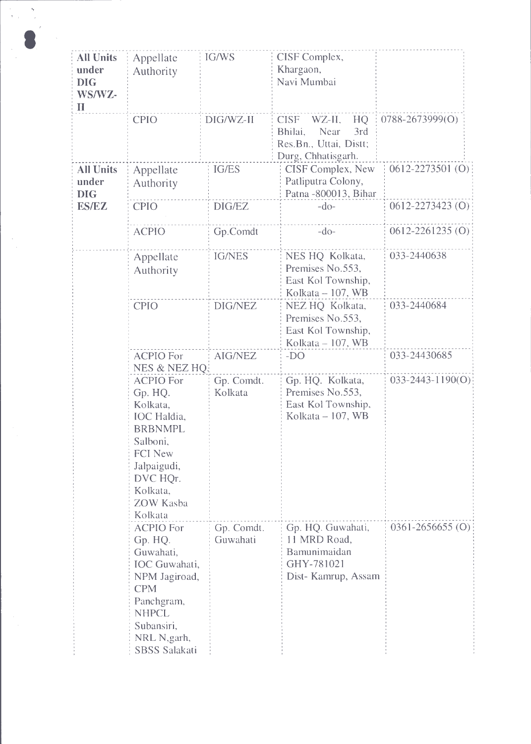| <b>All Units</b><br>under<br><b>DIG</b><br>WS/WZ-<br>$\mathbf{I}$ | Appellate<br>Authority                                                                                                                                                       | IG/WS                  | CISF Complex,<br>Khargaon,<br>Navi Mumbai                                                             |                        |
|-------------------------------------------------------------------|------------------------------------------------------------------------------------------------------------------------------------------------------------------------------|------------------------|-------------------------------------------------------------------------------------------------------|------------------------|
|                                                                   | <b>CPIO</b>                                                                                                                                                                  | DIG/WZ-II              | <b>CISF</b><br>WZ-II,<br>HQ<br>3rd<br>Bhilai,<br>Near<br>Res.Bn., Uttai, Distt;<br>Durg, Chhatisgarh. | $0788 - 2673999(O)$    |
| <b>All Units</b><br>under<br><b>DIG</b>                           | Appellate<br>Authority                                                                                                                                                       | <b>IG/ES</b>           | CISF Complex, New<br>Patliputra Colony,<br>Patna -800013, Bihar                                       | $0612 - 2273501$ (O)   |
| <b>ES/EZ</b>                                                      | <b>CPIO</b>                                                                                                                                                                  | DIG/EZ                 | $-do-$                                                                                                | $0612 - 2273423$ (O)   |
|                                                                   | <b>ACPIO</b>                                                                                                                                                                 | Gp.Comdt               | $-do-$                                                                                                | $0612 - 2261235(0)$    |
|                                                                   | Appellate<br>Authority                                                                                                                                                       | <b>IG/NES</b>          | NES HQ Kolkata,<br>Premises No.553,<br>East Kol Township,<br>Kolkata - 107, WB                        | 033-2440638            |
|                                                                   | <b>CPIO</b>                                                                                                                                                                  | <b>DIG/NEZ</b>         | NEZ HQ Kolkata,<br>Premises No.553,<br>East Kol Township,<br>Kolkata – 107, WB                        | 033-2440684            |
|                                                                   | <b>ACPIO For</b><br>NES & NEZ HQ.                                                                                                                                            | <b>AIG/NEZ</b>         | $-DO$                                                                                                 | 033-24430685           |
|                                                                   | <b>ACPIO For</b><br>Gp. HQ.<br>Kolkata,<br><b>IOC</b> Haldia,<br><b>BRBNMPL</b><br>Salboni,<br><b>FCI New</b><br>Jalpaigudi,<br>DVC HQr.<br>Kolkata,<br>ZOW Kasba<br>Kolkata | Gp. Comdt.<br>Kolkata  | Gp. HQ. Kolkata,<br>Premises No.553,<br>East Kol Township,<br>Kolkata $-107$ , WB                     | $033 - 2443 - 1190(0)$ |
|                                                                   | <b>ACPIO For</b><br>Gp. HQ.<br>Guwahati,<br><b>IOC</b> Guwahati,<br>NPM Jagiroad,<br><b>CPM</b><br>Panchgram,<br><b>NHPCL</b><br>Subansiri,<br>NRL N, garh,<br>SBSS Salakati | Gp. Comdt.<br>Guwahati | Gp. HQ. Guwahati,<br>11 MRD Road,<br>Bamunimaidan<br>GHY-781021<br>Dist- Kamrup, Assam                | $0361 - 2656655$ (O)   |

 $\frac{1}{\sqrt{2}}$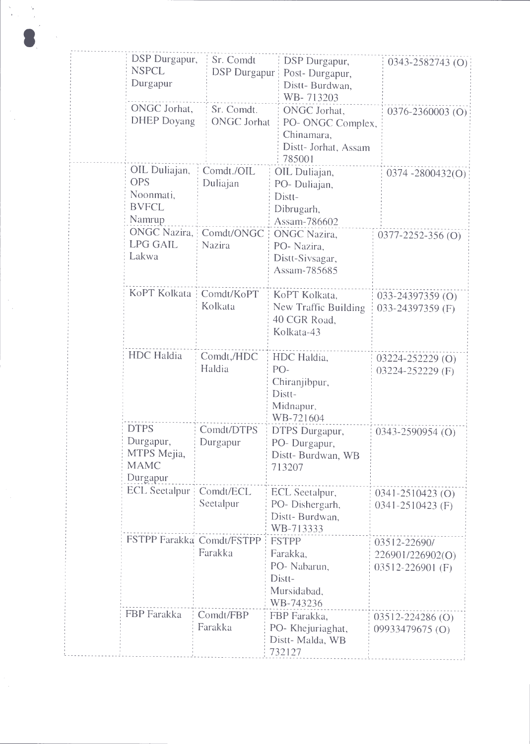| DSP Durgapur,<br><b>NSPCL</b>                                      | Sr. Comdt<br><b>DSP</b> Durgapur | DSP Durgapur,<br>Post-Durgapur,                                                   | 0343-2582743 (O)                                         |
|--------------------------------------------------------------------|----------------------------------|-----------------------------------------------------------------------------------|----------------------------------------------------------|
| Durgapur                                                           |                                  | Distt-Burdwan,<br>WB-713203                                                       |                                                          |
| ONGC Jorhat,<br><b>DHEP</b> Doyang                                 | Sr. Comdt.<br><b>ONGC Jorhat</b> | ONGC Jorhat,<br>PO- ONGC Complex,<br>Chinamara,<br>Distt- Jorhat, Assam<br>785001 | 0376-2360003 (O)                                         |
| OIL Duliajan,<br><b>OPS</b><br>Noonmati,<br><b>BVFCL</b><br>Namrup | Comdt./OIL<br>Duliajan           | OIL Duliajan,<br>PO-Duliajan,<br>Distt-<br>Dibrugarh,<br>Assam-786602             | $0374 - 2800432(0)$                                      |
| <b>ONGC Nazira,</b><br><b>LPG GAIL</b><br>Lakwa                    | Comdt/ONGC<br>Nazira             | <b>ONGC</b> Nazira,<br>PO-Nazira,<br>Distt-Sivsagar,<br>Assam-785685              | 0377-2252-356(O)                                         |
| KoPT Kolkata   Comdt/KoPT                                          | Kolkata                          | KoPT Kolkata,<br>New Traffic Building<br>40 CGR Road,<br>Kolkata-43               | 033-24397359 (O)<br>033-24397359 (F)                     |
| <b>HDC</b> Haldia                                                  | Comdt,/HDC<br>Haldia             | HDC Haldia,<br>PO-<br>Chiranjibpur,<br>Distt-<br>Midnapur,<br>WB-721604           | $03224 - 252229$ (O)<br>03224-252229 (F)                 |
| <b>DTPS</b><br>Durgapur,<br>MTPS Mejia,<br><b>MAMC</b><br>Durgapur | Comdt/DTPS<br>Durgapur           | DTPS Durgapur,<br>PO-Durgapur,<br>Distt-Burdwan, WB<br>713207                     | $0343 - 2590954$ (O)                                     |
| <b>ECL</b> Seetalpur                                               | Comdt/ECL<br>Seetalpur           | ECL Seetalpur,<br>PO-Dishergarh,<br>Distt-Burdwan,<br>WB-713333                   | 0341-2510423 (O)<br>0341-2510423 (F)                     |
| FSTPP Farakka Comdt/FSTPP                                          | Farakka                          | <b>FSTPP</b><br>Farakka,<br>PO- Nabarun,<br>Distt-<br>Mursidabad,<br>WB-743236    | 03512-22690/<br>226901/226902(O)<br>$03512 - 226901$ (F) |
| FBP Farakka                                                        | Comdt/FBP<br>Farakka             | FBP Farakka,<br>PO- Khejuriaghat,<br>Distt-Malda, WB<br>732127                    | 03512-224286 (O)<br>09933479675 (O)                      |

 $\frac{1}{2}$ 

 $\frac{1}{\sqrt{2}}$ 

 $\frac{1}{\sqrt{2}}$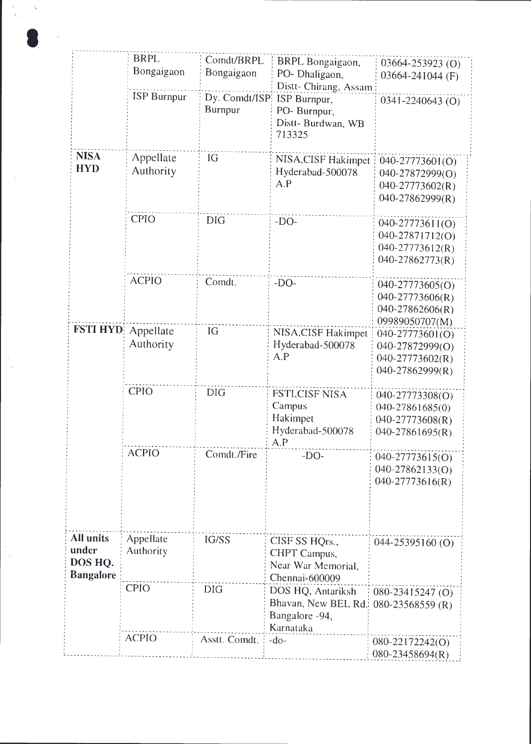|                  | <b>BRPL</b>        |                          |                             |                     |
|------------------|--------------------|--------------------------|-----------------------------|---------------------|
|                  | Bongaigaon         | Comdt/BRPL<br>Bongaigaon | BRPL Bongaigaon,            | 03664-253923 (O)    |
|                  |                    |                          | PO- Dhaligaon,              | 03664-241044 (F)    |
|                  |                    |                          | Distt- Chirang, Assam       |                     |
|                  | <b>ISP Burnpur</b> | Dy. Comdt/ISP            | ISP Burnpur,                | 0341-2240643 (O)    |
|                  |                    | <b>Burnpur</b>           | PO-Burnpur,                 |                     |
|                  |                    |                          | Distt-Burdwan, WB<br>713325 |                     |
| <b>NISA</b>      |                    |                          |                             |                     |
| <b>HYD</b>       | Appellate          | IG                       | NISA, CISF Hakimpet         | 040-27773601(O)     |
|                  | Authority          |                          | Hyderabad-500078            | 040-27872999(O)     |
|                  |                    |                          | A.P                         | $040-27773602(R)$   |
|                  |                    |                          |                             | 040-27862999(R)     |
|                  | <b>CPIO</b>        | <b>DIG</b>               | $-DO-$                      | 040-27773611(O)     |
|                  |                    |                          |                             | 040-27871712(O)     |
|                  |                    |                          |                             | $040 - 27773612(R)$ |
|                  |                    |                          |                             | 040-27862773(R)     |
|                  |                    |                          |                             |                     |
|                  | <b>ACPIO</b>       | Comdt.                   | $-DO-$                      | 040-27773605(O)     |
|                  |                    |                          |                             | 040-27773606(R)     |
|                  |                    |                          |                             | $040 - 27862606(R)$ |
|                  |                    |                          |                             | 09989050707(M)      |
| <b>FSTI HYD</b>  | Appellate          | IG                       | NISA, CISF Hakimpet         | 040-27773601(O)     |
|                  | Authority          |                          | Hyderabad-500078            | 040-27872999(O)     |
|                  |                    |                          | A.P                         | 040-27773602(R)     |
|                  |                    |                          |                             | 040-27862999(R)     |
|                  | <b>CPIO</b>        | <b>DIG</b>               | FSTI, CISF NISA             | 040-27773308(O)     |
|                  |                    |                          | Campus                      | 040-27861685(0)     |
|                  |                    |                          | Hakimpet                    | $040 - 27773608(R)$ |
|                  |                    |                          | Hyderabad-500078            | $040 - 27861695(R)$ |
|                  |                    |                          | A.P                         |                     |
|                  | <b>ACPIO</b>       | Comdt./Fire              | $-DO-$                      | 040-27773615(O)     |
|                  |                    |                          |                             | 040-27862133(O)     |
|                  |                    |                          |                             | 040-27773616(R)     |
|                  |                    |                          |                             |                     |
| All units        | Appellate          | IG/SS                    | CISF SS HQrs.,              |                     |
| under            | Authority          |                          | CHPT Campus,                | 044-25395160 (O)    |
| DOS HQ.          |                    |                          | Near War Memorial,          |                     |
| <b>Bangalore</b> |                    |                          | Chennai-600009              |                     |
|                  | <b>CPIO</b>        | <b>DIG</b>               |                             |                     |
|                  |                    |                          | DOS HQ, Antariksh           | 080-23415247 (O)    |
|                  |                    |                          | Bhavan, New BEL Rd.         | 080-23568559 (R)    |
|                  |                    |                          | Bangalore -94,              |                     |
|                  | <b>ACPIO</b>       |                          | Karnataka                   |                     |
|                  |                    | Asstt. Comdt.            | $-do-$                      | 080-22172242(O)     |
|                  |                    |                          |                             | 080-23458694(R)     |

8

 $\hat{\boldsymbol{\beta}}$ 

 $\frac{1}{\sqrt{2}}$ 

 $\frac{d}{dt}\frac{d\phi}{dt} = \frac{1}{2\pi}\frac{d\phi}{dt}$ 

 $\frac{1}{\sqrt{2}}$ 

 $\begin{bmatrix} 1 \\ 1 \end{bmatrix}$ 

 $\left\vert \cdot\right\vert$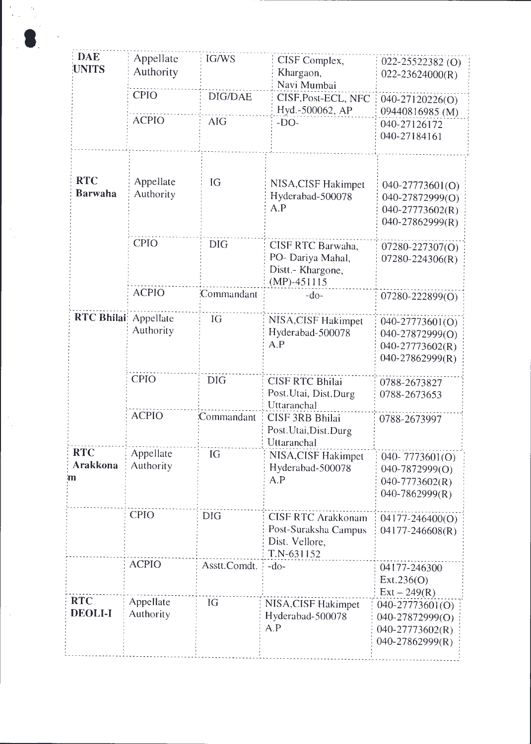| <b>DAE</b><br><b>UNITS</b>   | Appellate<br>Authority | IG/WS          | CISF Complex,<br>Khargaon,<br>Navi Mumbai                                         | 022-25522382(O)<br>$022 - 23624000(R)$                                     |
|------------------------------|------------------------|----------------|-----------------------------------------------------------------------------------|----------------------------------------------------------------------------|
|                              | <b>CPIO</b>            | <b>DIG/DAE</b> | CISF, Post-ECL, NFC<br>Hyd.-500062, AP                                            | 040-27120226(O)<br>09440816985 (M)                                         |
|                              | <b>ACPIO</b>           | <b>AIG</b>     | $-DO-$                                                                            | 040-27126172<br>040-27184161                                               |
| <b>RTC</b><br><b>Barwaha</b> | Appellate<br>Authority | IG             | NISA, CISF Hakimpet<br>Hyderabad-500078<br>A.P                                    | 040-27773601(O)<br>040-27872999(O)<br>$040-27773602(R)$<br>040-27862999(R) |
|                              | <b>CPIO</b>            | <b>DIG</b>     | CISF RTC Barwaha,<br>PO- Dariya Mahal,<br>Distt.- Khargone,<br>$(MP) - 451115$    | 07280-227307(O)<br>$07280 - 224306(R)$                                     |
|                              | <b>ACPIO</b>           | Commandant     | $-do-$                                                                            | 07280-222899(O)                                                            |
| RTC Bhilai Appellate         | Authority              | IG             | NISA, CISF Hakimpet<br>Hyderabad-500078<br>A.P                                    | 040-27773601(O)<br>040-27872999(O)<br>040-27773602(R)<br>040-27862999(R)   |
|                              | <b>CPIO</b>            | <b>DIG</b>     | <b>CISF RTC Bhilai</b><br>Post.Utai, Dist.Durg<br>Uttaranchal                     | 0788-2673827<br>0788-2673653                                               |
|                              | <b>ACPIO</b>           | Commandant     | <b>CISF 3RB Bhilai</b><br>Post.Utai,Dist.Durg<br>Uttaranchal                      | 0788-2673997                                                               |
| <b>RTC</b><br>Arakkona<br>m  | Appellate<br>Authority | IG             | NISA, CISF Hakimpet<br>Hyderabad-500078<br>A.P                                    | 040-7773601(O)<br>040-7872999(O)<br>$040 - 7773602(R)$<br>040-7862999(R)   |
|                              | <b>CPIO</b>            | <b>DIG</b>     | <b>CISF RTC Arakkonam</b><br>Post-Suraksha Campus<br>Dist. Vellore,<br>T.N-631152 | $04177 - 246400(O)$<br>$04177 - 246608(R)$                                 |
|                              | <b>ACPIO</b>           | Asstt.Comdt.   | $-do-$                                                                            | 04177-246300<br>Ext.236(O)<br>$Ext - 249(R)$                               |
| <b>RTC</b><br><b>DEOLI-I</b> | Appellate<br>Authority | IG             | NISA, CISF Hakimpet<br>Hyderabad-500078<br>A.P                                    | 040-27773601(O)<br>040-27872999(O)<br>$040-27773602(R)$<br>040-27862999(R) |

 $\frac{1}{\sqrt{2}}$ 

 $\frac{1}{2}$ 

 $\cdot$  $\frac{1}{2}$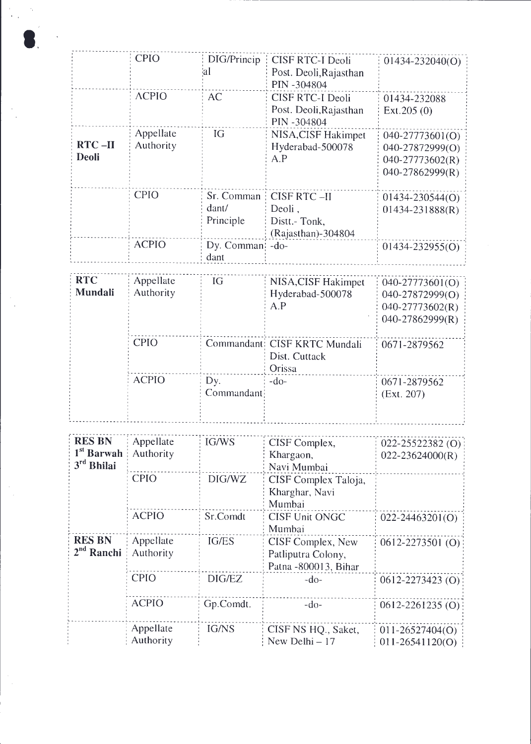|                              | <b>CPIO</b>            | DIG/Princip<br>ΙaΙ               | <b>CISF RTC-I Deoli</b><br>Post. Deoli, Rajasthan<br>PIN -304804    | $01434 - 232040(0)$                                                      |
|------------------------------|------------------------|----------------------------------|---------------------------------------------------------------------|--------------------------------------------------------------------------|
|                              | <b>ACPIO</b>           | <b>AC</b>                        | <b>CISF RTC-I Deoli</b><br>Post. Deoli, Rajasthan<br>PIN-304804     | 01434-232088<br>Ext.205(0)                                               |
| <b>RTC-II</b><br>Deoli       | Appellate<br>Authority | IG                               | NISA, CISF Hakimpet<br>Hyderabad-500078<br>A.P                      | 040-27773601(O)<br>040-27872999(O)<br>040-27773602(R)<br>040-27862999(R) |
|                              | <b>CPIO</b>            | Sr. Comman<br>dant/<br>Principle | <b>CISF RTC-II</b><br>Deoli.<br>Distt.- Tonk,<br>(Rajasthan)-304804 | 01434-230544(O)<br>$01434 - 231888(R)$                                   |
|                              | <b>ACPIO</b>           | Dy. Comman!<br>dant              | $-do-$                                                              | $01434 - 232955(0)$                                                      |
| <b>RTC</b><br><b>Mundali</b> | Appellate<br>Authority | IG                               | NISA, CISF Hakimpet<br>Hyderabad-500078<br>A.P                      | 040-27773601(O)<br>040-27872999(O)<br>040-27773602(R)<br>040-27862999(R) |
|                              | <b>CPIO</b>            |                                  | Commandant: CISF KRTC Mundali<br>Dist. Cuttack<br>Orissa            | 0671-2879562                                                             |
|                              | <b>ACPIO</b>           | Dy.<br>Commandant                | $-do-$                                                              | 0671-2879562<br>(Ext. 207)                                               |

 $\frac{1}{\left\vert \mathcal{F}_{\mathcal{A}}\right\vert _{2}}$ 

 $\frac{1}{\sqrt{2}}$ 

 $\frac{1}{\sqrt{2}}$ 

 $\frac{1}{2}$ 

 $\frac{1}{\sqrt{2}}$ 

 $\gamma_{\rm c}$ 

 $\bullet$ 

 $\frac{1}{2}$ 

| <b>RES BN</b><br>$1st$ Barwah<br>3 <sup>rd</sup> Bhilai | Appellate<br>Authority | IG/WS        | CISF Complex,<br>Khargaon,<br>Navi Mumbai                        | 022-25522382 (O)<br>$022 - 23624000(R)$    |
|---------------------------------------------------------|------------------------|--------------|------------------------------------------------------------------|--------------------------------------------|
|                                                         | <b>CPIO</b>            | DIG/WZ       | CISF Complex Taloja,<br>Kharghar, Navi<br>Mumbai                 |                                            |
|                                                         | <b>ACPIO</b>           | Sr.Comdt     | <b>CISF Unit ONGC</b><br>Mumbai                                  | $022 - 24463201(0)$                        |
| <b>RES BN</b><br>$2nd$ Ranchi                           | Appellate<br>Authority | IG/ES        | CISF Complex, New<br>Patliputra Colony,<br>Patna - 800013, Bihar | 0612-2273501 (O)                           |
|                                                         | <b>CPIO</b>            | DIG/EZ       | $-do-$                                                           | $0612 - 2273423$ (O)                       |
|                                                         | <b>ACPIO</b>           | Gp.Comdt.    | $-do-$                                                           | $0612 - 2261235$ (O)                       |
|                                                         | Appellate<br>Authority | <b>IG/NS</b> | CISF NS HQ., Saket,<br>New Delhi - 17                            | $011 - 26527404(O)$<br>$011 - 26541120(O)$ |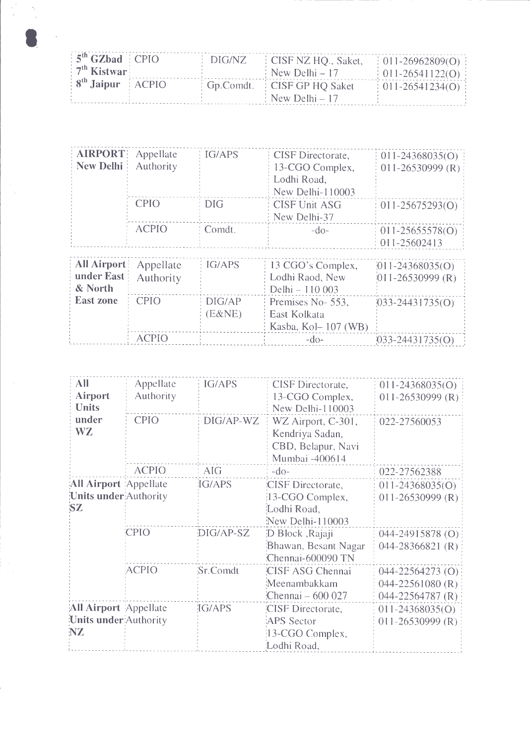| $5th$ GZbad $\leq$ CPIO                                  | DIG/NZ | CISF NZ HQ., Saket,          | $\mid$ 011-26962809(O) $\mid$ |
|----------------------------------------------------------|--------|------------------------------|-------------------------------|
| $\frac{1}{2}$ <sup>th</sup> Kistwar <sup>1</sup>         |        | : New Delhi – 17             | $\frac{1}{2}$ 011-26541122(O) |
| $\frac{1}{2}$ 8 <sup>th</sup> Jaipur $\frac{1}{2}$ ACPIO |        | Gp.Comdt. CISF GP HQ Saket   | $\pm 011 - 26541234(0)$       |
|                                                          |        | $\frac{1}{2}$ New Delhi – 17 |                               |

 $\label{eq:2} \begin{array}{l} \alpha_{1}^{(2)} = -2\alpha_{1} \\ \alpha_{2}^{(2)} = -2\alpha_{2} \\ \alpha_{3}^{(2)} = -2\alpha_{3} \end{array}$ 

 $\label{eq:2} \frac{d\mathcal{L}_{\text{max}}}{d\mathcal{L}_{\text{max}}}\leq 1.$ 

| <b>AIRPORT</b><br>New Delhi                 | Appellate<br>Authority | IG/APS           | CISF Directorate,<br>13-CGO Complex,<br>Lodhi Road,<br>New Delhi-110003 | $011 - 24368035(O)$<br>$011 - 26530999$ (R)   |
|---------------------------------------------|------------------------|------------------|-------------------------------------------------------------------------|-----------------------------------------------|
|                                             | <b>CPIO</b>            | $DIG$            | <b>CISF Unit ASG</b><br>New Delhi-37                                    | $011 - 25675293(0)$                           |
|                                             | <b>ACPIO</b>           | Comdt.           | $-do-$                                                                  | $011 - 25655578(0)$<br>$011 - 25602413$       |
| <b>All Airport</b><br>under East<br>& North | Appellate<br>Authority | IG/APS           | 13 CGO's Complex,<br>Lodhi Raod, New<br>Delhi - 110 003                 | $[011 - 24368035(0)]$<br>$011 - 26530999$ (R) |
| <b>East zone</b>                            | <b>CPIO</b>            | DIG/AP<br>(E&NE) | Premises No-553,<br>East Kolkata<br>Kasba, Kol – 107 (WB)               | $(033 - 24431735(0))$                         |
|                                             | <b>ACPIO</b>           |                  | $-dO-$                                                                  | $(033 - 24431735(0))$                         |

| All<br>Airport<br>Units<br>under<br>WZ | Appellate<br>Authority<br><b>CPIO</b> | IG/APS<br>$DIG/AP-WZ$ | CISF Directorate,<br>13-CGO Complex,<br>New Delhi-110003<br>WZ Airport, C-301,<br>Kendriya Sadan,<br>CBD, Belapur, Navi | $011 - 24368035(O)$<br>$011 - 26530999$ (R)<br>022-27560053 |
|----------------------------------------|---------------------------------------|-----------------------|-------------------------------------------------------------------------------------------------------------------------|-------------------------------------------------------------|
|                                        | <b>ACPIO</b>                          | <b>AIG</b>            | Mumbai -400614                                                                                                          |                                                             |
|                                        |                                       |                       | $-do-$                                                                                                                  | 022-27562388                                                |
| All Airport Appellate                  |                                       | IG/APS                | CISF Directorate,                                                                                                       | $011 - 24368035(O)$                                         |
| Units under Authority                  |                                       |                       | 13-CGO Complex,                                                                                                         | $011 - 26530999$ (R)                                        |
| SZ                                     |                                       |                       | Lodhi Road,                                                                                                             |                                                             |
|                                        |                                       |                       | New Delhi-110003                                                                                                        |                                                             |
|                                        | <b>CPIO</b>                           | DIG/AP-SZ             | D Block , Rajaji                                                                                                        | $044 - 24915878$ (O)                                        |
|                                        |                                       |                       | Bhawan, Besant Nagar                                                                                                    | $044 - 28366821$ (R)                                        |
|                                        |                                       |                       | Chennai-600090 TN                                                                                                       |                                                             |
|                                        | ACPIO                                 | Sr.Comdt              | CISF ASG Chennai                                                                                                        | $044 - 22564273$ (O)                                        |
|                                        |                                       |                       | Meenambakkam                                                                                                            | $044 - 22561080$ (R)                                        |
|                                        |                                       |                       | Chennai $-600027$                                                                                                       | $044 - 22564787$ (R)                                        |
| All Airport Appellate                  |                                       | IG/APS                | CISF Directorate,                                                                                                       | $011 - 24368035(0)$                                         |
| Units under Authority                  |                                       |                       | APS Sector                                                                                                              | $011 - 26530999$ (R)                                        |
| NZ                                     |                                       |                       | 13-CGO Complex,                                                                                                         |                                                             |
|                                        |                                       |                       | Lodhi Road,                                                                                                             |                                                             |